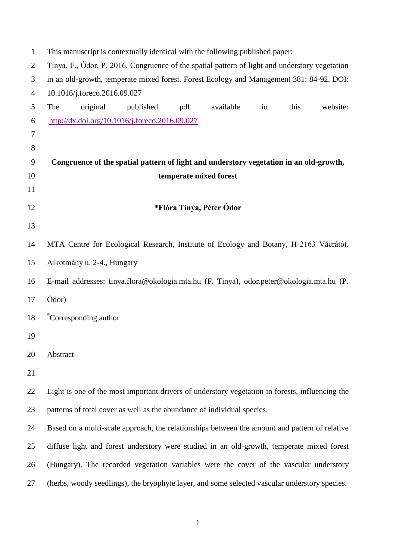| $\mathbf{1}$   | This manuscript is contextually identical with the following published paper:                   |  |  |  |  |
|----------------|-------------------------------------------------------------------------------------------------|--|--|--|--|
| $\overline{c}$ | Tinya, F., Ódor, P. 2016. Congruence of the spatial pattern of light and understory vegetation  |  |  |  |  |
| 3              | in an old-growth, temperate mixed forest. Forest Ecology and Management 381: 84-92. DOI:        |  |  |  |  |
| 4              | 10.1016/j.foreco.2016.09.027                                                                    |  |  |  |  |
| 5              | original<br>available<br>this<br>website:<br>The<br>published<br>pdf<br>in                      |  |  |  |  |
| 6              | http://dx.doi.org/10.1016/j.foreco.2016.09.027                                                  |  |  |  |  |
| 7              |                                                                                                 |  |  |  |  |
| 8              |                                                                                                 |  |  |  |  |
| 9              | Congruence of the spatial pattern of light and understory vegetation in an old-growth,          |  |  |  |  |
| 10             | temperate mixed forest                                                                          |  |  |  |  |
| 11             |                                                                                                 |  |  |  |  |
| 12             | *Flóra Tinya, Péter Ódor                                                                        |  |  |  |  |
| 13             |                                                                                                 |  |  |  |  |
| 14             | MTA Centre for Ecological Research, Institute of Ecology and Botany, H-2163 Vácrátót,           |  |  |  |  |
| 15             | Alkotmány u. 2-4., Hungary                                                                      |  |  |  |  |
| 16             | E-mail addresses: tinya.flora@okologia.mta.hu (F. Tinya), odor.peter@okologia.mta.hu (P.        |  |  |  |  |
| 17             | Ódor)                                                                                           |  |  |  |  |
| 18             | *Corresponding author                                                                           |  |  |  |  |
| 19             |                                                                                                 |  |  |  |  |
| 20             | Abstract                                                                                        |  |  |  |  |
| 21             |                                                                                                 |  |  |  |  |
| 22             | Light is one of the most important drivers of understory vegetation in forests, influencing the |  |  |  |  |
| 23             | patterns of total cover as well as the abundance of individual species.                         |  |  |  |  |
| 24             | Based on a multi-scale approach, the relationships between the amount and pattern of relative   |  |  |  |  |
| 25             | diffuse light and forest understory were studied in an old-growth, temperate mixed forest       |  |  |  |  |
| 26             | (Hungary). The recorded vegetation variables were the cover of the vascular understory          |  |  |  |  |
| 27             | (herbs, woody seedlings), the bryophyte layer, and some selected vascular understory species.   |  |  |  |  |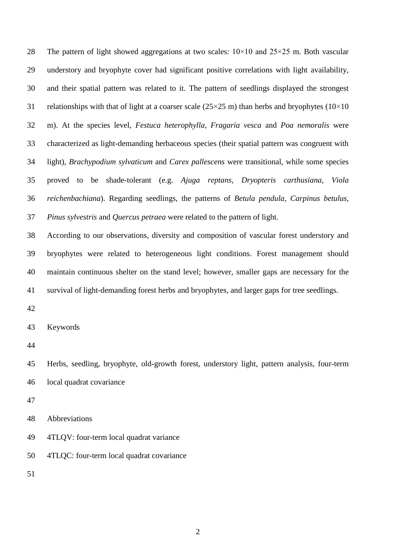28 The pattern of light showed aggregations at two scales:  $10 \times 10$  and  $25 \times 25$  m. Both vascular understory and bryophyte cover had significant positive correlations with light availability, and their spatial pattern was related to it. The pattern of seedlings displayed the strongest 31 relationships with that of light at a coarser scale  $(25\times25 \text{ m})$  than herbs and bryophytes  $(10\times10$  m). At the species level, *Festuca heterophylla, Fragaria vesca* and *Poa nemoralis* were characterized as light-demanding herbaceous species (their spatial pattern was congruent with light), *Brachypodium sylvaticum* and *Carex pallescens* were transitional, while some species proved to be shade-tolerant (e.g. *Ajuga reptans, Dryopteris carthusiana, Viola reichenbachiana*). Regarding seedlings, the patterns of *Betula pendula, Carpinus betulus, Pinus sylvestris* and *Quercus petraea* were related to the pattern of light.

 According to our observations, diversity and composition of vascular forest understory and bryophytes were related to heterogeneous light conditions. Forest management should maintain continuous shelter on the stand level; however, smaller gaps are necessary for the survival of light-demanding forest herbs and bryophytes, and larger gaps for tree seedlings.

Keywords

 Herbs, seedling, bryophyte, old-growth forest, understory light, pattern analysis, four-term local quadrat covariance

Abbreviations

4TLQV: four-term local quadrat variance

4TLQC: four-term local quadrat covariance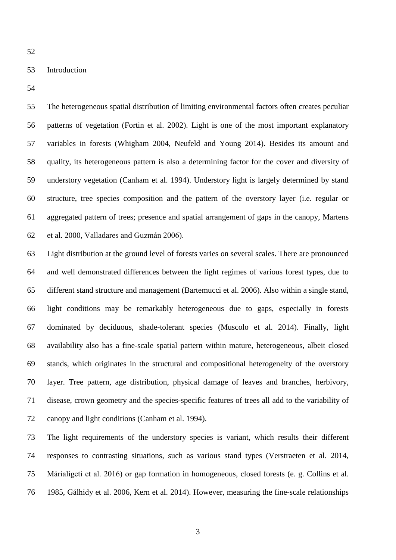## Introduction

 The heterogeneous spatial distribution of limiting environmental factors often creates peculiar patterns of vegetation (Fortin et al. 2002). Light is one of the most important explanatory variables in forests (Whigham 2004, Neufeld and Young 2014). Besides its amount and quality, its heterogeneous pattern is also a determining factor for the cover and diversity of understory vegetation (Canham et al. 1994). Understory light is largely determined by stand structure, tree species composition and the pattern of the overstory layer (i.e. regular or aggregated pattern of trees; presence and spatial arrangement of gaps in the canopy, Martens et al. 2000, Valladares and Guzmán 2006).

 Light distribution at the ground level of forests varies on several scales. There are pronounced and well demonstrated differences between the light regimes of various forest types, due to different stand structure and management (Bartemucci et al. 2006). Also within a single stand, light conditions may be remarkably heterogeneous due to gaps, especially in forests dominated by deciduous, shade-tolerant species (Muscolo et al. 2014). Finally, light availability also has a fine-scale spatial pattern within mature, heterogeneous, albeit closed stands, which originates in the structural and compositional heterogeneity of the overstory layer. Tree pattern, age distribution, physical damage of leaves and branches, herbivory, disease, crown geometry and the species-specific features of trees all add to the variability of canopy and light conditions (Canham et al. 1994).

 The light requirements of the understory species is variant, which results their different responses to contrasting situations, such as various stand types (Verstraeten et al. 2014, Márialigeti et al. 2016) or gap formation in homogeneous, closed forests (e. g. Collins et al. 1985, Gálhidy et al. 2006, Kern et al. 2014). However, measuring the fine-scale relationships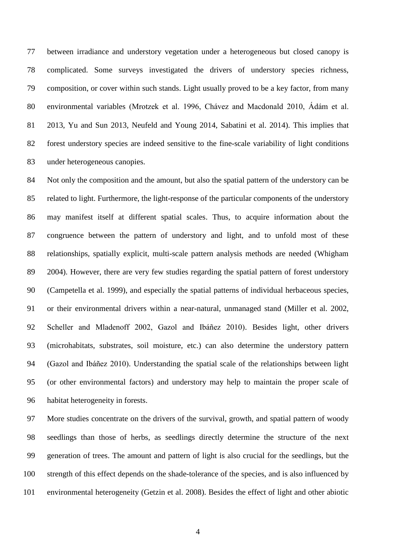between irradiance and understory vegetation under a heterogeneous but closed canopy is complicated. Some surveys investigated the drivers of understory species richness, composition, or cover within such stands. Light usually proved to be a key factor, from many environmental variables (Mrotzek et al. 1996, Chávez and Macdonald 2010, Ádám et al. 2013, Yu and Sun 2013, Neufeld and Young 2014, Sabatini et al. 2014). This implies that forest understory species are indeed sensitive to the fine-scale variability of light conditions under heterogeneous canopies.

 Not only the composition and the amount, but also the spatial pattern of the understory can be related to light. Furthermore, the light-response of the particular components of the understory may manifest itself at different spatial scales. Thus, to acquire information about the congruence between the pattern of understory and light, and to unfold most of these relationships, spatially explicit, multi-scale pattern analysis methods are needed (Whigham 2004). However, there are very few studies regarding the spatial pattern of forest understory (Campetella et al. 1999), and especially the spatial patterns of individual herbaceous species, or their environmental drivers within a near-natural, unmanaged stand (Miller et al. 2002, Scheller and Mladenoff 2002, Gazol and Ibáñez 2010). Besides light, other drivers (microhabitats, substrates, soil moisture, etc.) can also determine the understory pattern (Gazol and Ibáñez 2010). Understanding the spatial scale of the relationships between light (or other environmental factors) and understory may help to maintain the proper scale of habitat heterogeneity in forests.

 More studies concentrate on the drivers of the survival, growth, and spatial pattern of woody seedlings than those of herbs, as seedlings directly determine the structure of the next generation of trees. The amount and pattern of light is also crucial for the seedlings, but the strength of this effect depends on the shade-tolerance of the species, and is also influenced by environmental heterogeneity (Getzin et al. 2008). Besides the effect of light and other abiotic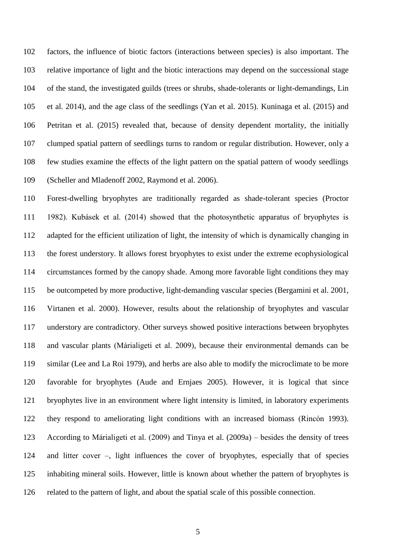factors, the influence of biotic factors (interactions between species) is also important. The relative importance of light and the biotic interactions may depend on the successional stage of the stand, the investigated guilds (trees or shrubs, shade-tolerants or light-demandings, Lin et al. 2014), and the age class of the seedlings (Yan et al. 2015). Kuninaga et al. (2015) and Petritan et al. (2015) revealed that, because of density dependent mortality, the initially clumped spatial pattern of seedlings turns to random or regular distribution. However, only a few studies examine the effects of the light pattern on the spatial pattern of woody seedlings (Scheller and Mladenoff 2002, Raymond et al. 2006).

 Forest-dwelling bryophytes are traditionally regarded as shade-tolerant species (Proctor 1982). Kubásek et al. (2014) showed that the photosynthetic apparatus of bryophytes is adapted for the efficient utilization of light, the intensity of which is dynamically changing in the forest understory. It allows forest bryophytes to exist under the extreme ecophysiological circumstances formed by the canopy shade. Among more favorable light conditions they may be outcompeted by more productive, light-demanding vascular species (Bergamini et al. 2001, Virtanen et al. 2000). However, results about the relationship of bryophytes and vascular understory are contradictory. Other surveys showed positive interactions between bryophytes and vascular plants (Márialigeti et al. 2009), because their environmental demands can be similar (Lee and La Roi 1979), and herbs are also able to modify the microclimate to be more favorable for bryophytes (Aude and Ernjaes 2005). However, it is logical that since bryophytes live in an environment where light intensity is limited, in laboratory experiments they respond to ameliorating light conditions with an increased biomass (Rincón 1993). According to Márialigeti et al. (2009) and Tinya et al. (2009a) ‒ besides the density of trees 124 and litter cover –, light influences the cover of bryophytes, especially that of species inhabiting mineral soils. However, little is known about whether the pattern of bryophytes is related to the pattern of light, and about the spatial scale of this possible connection.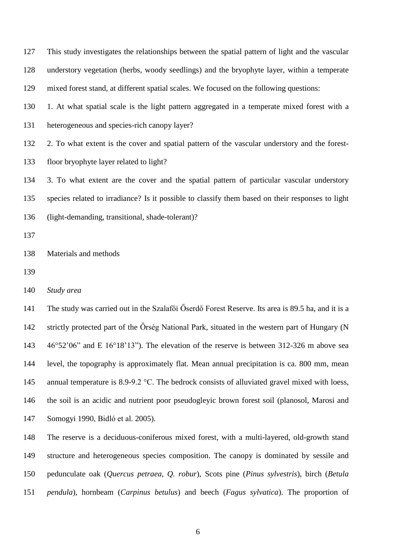This study investigates the relationships between the spatial pattern of light and the vascular understory vegetation (herbs, woody seedlings) and the bryophyte layer, within a temperate mixed forest stand, at different spatial scales. We focused on the following questions: 1. At what spatial scale is the light pattern aggregated in a temperate mixed forest with a heterogeneous and species-rich canopy layer? 2. To what extent is the cover and spatial pattern of the vascular understory and the forest- floor bryophyte layer related to light? 3. To what extent are the cover and the spatial pattern of particular vascular understory species related to irradiance? Is it possible to classify them based on their responses to light (light-demanding, transitional, shade-tolerant)? Materials and methods *Study area*

 The study was carried out in the Szalafői Őserdő Forest Reserve. Its area is 89.5 ha, and it is a strictly protected part of the Őrség National Park, situated in the western part of Hungary (N 46°52'06" and E 16°18'13"). The elevation of the reserve is between 312-326 m above sea level, the topography is approximately flat. Mean annual precipitation is ca. 800 mm, mean 145 annual temperature is 8.9-9.2 °C. The bedrock consists of alluviated gravel mixed with loess, the soil is an acidic and nutrient poor pseudogleyic brown forest soil (planosol, Marosi and Somogyi 1990, Bidló et al. 2005).

 The reserve is a deciduous-coniferous mixed forest, with a multi-layered, old-growth stand structure and heterogeneous species composition. The canopy is dominated by sessile and pedunculate oak (*Quercus petraea, Q. robur*), Scots pine (*Pinus sylvestris*), birch (*Betula pendula*), hornbeam (*Carpinus betulus*) and beech (*Fagus sylvatica*). The proportion of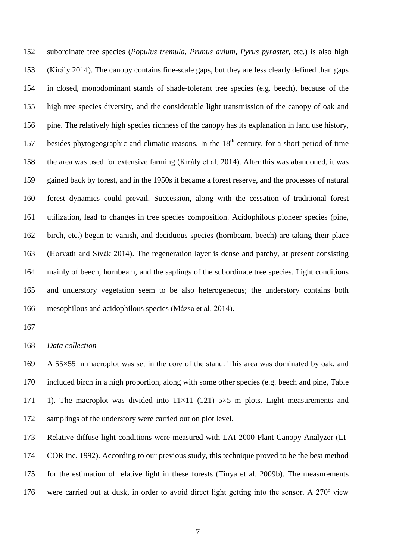subordinate tree species (*Populus tremula*, *Prunus avium*, *Pyrus pyraster,* etc.) is also high (Király 2014). The canopy contains fine-scale gaps, but they are less clearly defined than gaps in closed, monodominant stands of shade-tolerant tree species (e.g. beech), because of the high tree species diversity, and the considerable light transmission of the canopy of oak and pine. The relatively high species richness of the canopy has its explanation in land use history, 157 besides phytogeographic and climatic reasons. In the  $18<sup>th</sup>$  century, for a short period of time the area was used for extensive farming (Király et al. 2014). After this was abandoned, it was gained back by forest, and in the 1950s it became a forest reserve, and the processes of natural forest dynamics could prevail. Succession, along with the cessation of traditional forest utilization, lead to changes in tree species composition. Acidophilous pioneer species (pine, birch, etc.) began to vanish, and deciduous species (hornbeam, beech) are taking their place (Horváth and Sivák 2014). The regeneration layer is dense and patchy, at present consisting mainly of beech, hornbeam, and the saplings of the subordinate tree species. Light conditions and understory vegetation seem to be also heterogeneous; the understory contains both mesophilous and acidophilous species (Mázsa et al. 2014).

## *Data collection*

 A 55×55 m macroplot was set in the core of the stand. This area was dominated by oak, and included birch in a high proportion, along with some other species (e.g. beech and pine, Table 171 1). The macroplot was divided into  $11\times11$  (121)  $5\times5$  m plots. Light measurements and samplings of the understory were carried out on plot level.

 Relative diffuse light conditions were measured with LAI-2000 Plant Canopy Analyzer (LI- COR Inc. 1992). According to our previous study, this technique proved to be the best method for the estimation of relative light in these forests (Tinya et al. 2009b). The measurements were carried out at dusk, in order to avoid direct light getting into the sensor. A 270º view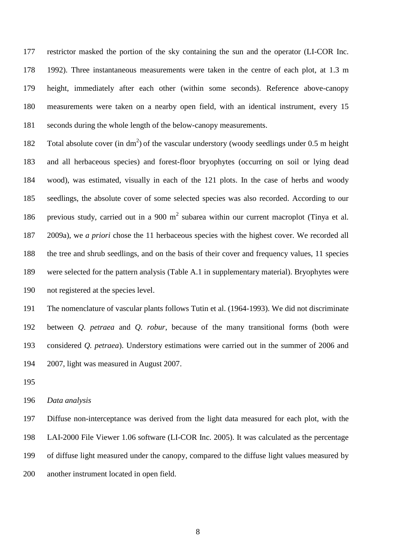restrictor masked the portion of the sky containing the sun and the operator (LI-COR Inc. 1992). Three instantaneous measurements were taken in the centre of each plot, at 1.3 m height, immediately after each other (within some seconds). Reference above-canopy measurements were taken on a nearby open field, with an identical instrument, every 15 seconds during the whole length of the below-canopy measurements.

182 Total absolute cover (in  $dm<sup>2</sup>$ ) of the vascular understory (woody seedlings under 0.5 m height and all herbaceous species) and forest-floor bryophytes (occurring on soil or lying dead wood), was estimated, visually in each of the 121 plots. In the case of herbs and woody seedlings, the absolute cover of some selected species was also recorded. According to our 186 previous study, carried out in a 900  $m<sup>2</sup>$  subarea within our current macroplot (Tinya et al. 2009a), we *a priori* chose the 11 herbaceous species with the highest cover. We recorded all the tree and shrub seedlings, and on the basis of their cover and frequency values, 11 species were selected for the pattern analysis (Table A.1 in supplementary material). Bryophytes were not registered at the species level.

 The nomenclature of vascular plants follows Tutin et al. (1964-1993). We did not discriminate between *Q. petraea* and *Q. robur*, because of the many transitional forms (both were considered *Q. petraea*). Understory estimations were carried out in the summer of 2006 and 2007, light was measured in August 2007.

### *Data analysis*

 Diffuse non-interceptance was derived from the light data measured for each plot, with the LAI-2000 File Viewer 1.06 software (LI-COR Inc. 2005). It was calculated as the percentage of diffuse light measured under the canopy, compared to the diffuse light values measured by another instrument located in open field.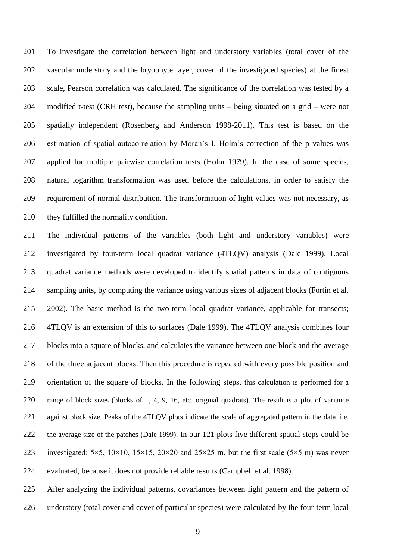To investigate the correlation between light and understory variables (total cover of the vascular understory and the bryophyte layer, cover of the investigated species) at the finest scale, Pearson correlation was calculated. The significance of the correlation was tested by a 204 modified t-test (CRH test), because the sampling units – being situated on a grid – were not spatially independent (Rosenberg and Anderson 1998-2011). This test is based on the estimation of spatial autocorrelation by Moran's I. Holm's correction of the p values was applied for multiple pairwise correlation tests (Holm 1979). In the case of some species, natural logarithm transformation was used before the calculations, in order to satisfy the requirement of normal distribution. The transformation of light values was not necessary, as 210 they fulfilled the normality condition.

 The individual patterns of the variables (both light and understory variables) were investigated by four-term local quadrat variance (4TLQV) analysis (Dale 1999). Local quadrat variance methods were developed to identify spatial patterns in data of contiguous sampling units, by computing the variance using various sizes of adjacent blocks (Fortin et al. 2002). The basic method is the two-term local quadrat variance, applicable for transects; 4TLQV is an extension of this to surfaces (Dale 1999). The 4TLQV analysis combines four blocks into a square of blocks, and calculates the variance between one block and the average of the three adjacent blocks. Then this procedure is repeated with every possible position and orientation of the square of blocks. In the following steps, this calculation is performed for a range of block sizes (blocks of 1, 4, 9, 16, etc. original quadrats). The result is a plot of variance 221 against block size. Peaks of the 4TLQV plots indicate the scale of aggregated pattern in the data, i.e. the average size of the patches (Dale 1999). In our 121 plots five different spatial steps could be 223 investigated:  $5\times5$ ,  $10\times10$ ,  $15\times15$ ,  $20\times20$  and  $25\times25$  m, but the first scale ( $5\times5$  m) was never evaluated, because it does not provide reliable results (Campbell et al. 1998).

 After analyzing the individual patterns, covariances between light pattern and the pattern of understory (total cover and cover of particular species) were calculated by the four-term local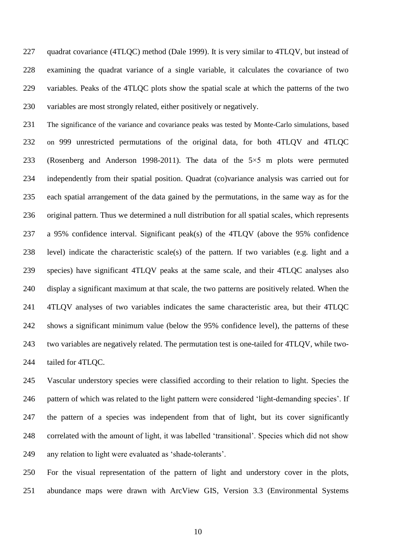227 quadrat covariance (4TLQC) method (Dale 1999). It is very similar to 4TLQV, but instead of examining the quadrat variance of a single variable, it calculates the covariance of two variables. Peaks of the 4TLQC plots show the spatial scale at which the patterns of the two 230 variables are most strongly related, either positively or negatively.

 The significance of the variance and covariance peaks was tested by Monte-Carlo simulations, based on 999 unrestricted permutations of the original data, for both 4TLQV and 4TLQC (Rosenberg and Anderson 1998-2011). The data of the 5×5 m plots were permuted independently from their spatial position. Quadrat (co)variance analysis was carried out for each spatial arrangement of the data gained by the permutations, in the same way as for the original pattern. Thus we determined a null distribution for all spatial scales, which represents a 95% confidence interval. Significant peak(s) of the 4TLQV (above the 95% confidence level) indicate the characteristic scale(s) of the pattern. If two variables (e.g. light and a species) have significant 4TLQV peaks at the same scale, and their 4TLQC analyses also display a significant maximum at that scale, the two patterns are positively related. When the 4TLQV analyses of two variables indicates the same characteristic area, but their 4TLQC shows a significant minimum value (below the 95% confidence level), the patterns of these two variables are negatively related. The permutation test is one-tailed for 4TLQV, while two-tailed for 4TLQC.

 Vascular understory species were classified according to their relation to light. Species the pattern of which was related to the light pattern were considered 'light-demanding species'. If the pattern of a species was independent from that of light, but its cover significantly correlated with the amount of light, it was labelled 'transitional'. Species which did not show any relation to light were evaluated as 'shade-tolerants'.

 For the visual representation of the pattern of light and understory cover in the plots, abundance maps were drawn with ArcView GIS, Version 3.3 (Environmental Systems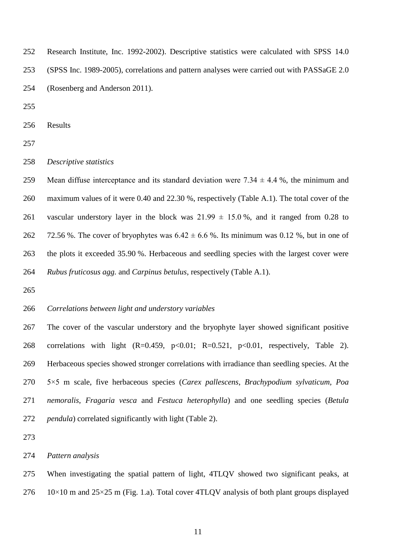Research Institute, Inc. 1992-2002). Descriptive statistics were calculated with SPSS 14.0 (SPSS Inc. 1989-2005), correlations and pattern analyses were carried out with PASSaGE 2.0 (Rosenberg and Anderson 2011).

Results

*Descriptive statistics*

259 Mean diffuse interceptance and its standard deviation were  $7.34 \pm 4.4$  %, the minimum and maximum values of it were 0.40 and 22.30 %, respectively (Table A.1). The total cover of the 261 vascular understory layer in the block was  $21.99 \pm 15.0$ %, and it ranged from 0.28 to 262 72.56 %. The cover of bryophytes was  $6.42 \pm 6.6$  %. Its minimum was 0.12 %, but in one of the plots it exceeded 35.90 %. Herbaceous and seedling species with the largest cover were *Rubus fruticosus agg.* and *Carpinus betulus*, respectively (Table A.1).

### *Correlations between light and understory variables*

 The cover of the vascular understory and the bryophyte layer showed significant positive correlations with light (R=0.459, p<0.01; R=0.521, p<0.01, respectively, Table 2). Herbaceous species showed stronger correlations with irradiance than seedling species. At the 5×5 m scale, five herbaceous species (*Carex pallescens*, *Brachypodium sylvaticum, Poa nemoralis*, *Fragaria vesca* and *Festuca heterophylla*) and one seedling species (*Betula pendula*) correlated significantly with light (Table 2).

*Pattern analysis*

 When investigating the spatial pattern of light, 4TLQV showed two significant peaks, at 10×10 m and  $25\times25$  m (Fig. 1.a). Total cover 4TLQV analysis of both plant groups displayed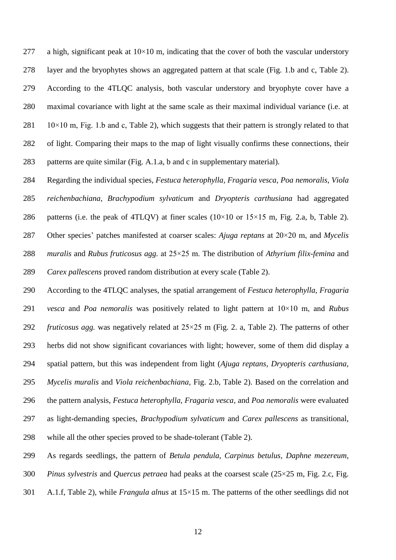277 a high, significant peak at  $10\times10$  m, indicating that the cover of both the vascular understory layer and the bryophytes shows an aggregated pattern at that scale (Fig. 1.b and c, Table 2). According to the 4TLQC analysis, both vascular understory and bryophyte cover have a maximal covariance with light at the same scale as their maximal individual variance (i.e. at  $281 \t 10\times10$  m, Fig. 1.b and c, Table 2), which suggests that their pattern is strongly related to that of light. Comparing their maps to the map of light visually confirms these connections, their patterns are quite similar (Fig. A.1.a, b and c in supplementary material).

 Regarding the individual species, *Festuca heterophylla, Fragaria vesca, Poa nemoralis*, *Viola reichenbachiana, Brachypodium sylvaticum* and *Dryopteris carthusiana* had aggregated 286 patterns (i.e. the peak of 4TLQV) at finer scales  $(10\times10$  or  $15\times15$  m, Fig. 2.a, b, Table 2). Other species' patches manifested at coarser scales: *Ajuga reptans* at 20×20 m, and *Mycelis muralis* and *Rubus fruticosus agg.* at 25×25 m. The distribution of *Athyrium filix-femina* and *Carex pallescens* proved random distribution at every scale (Table 2).

 According to the 4TLQC analyses, the spatial arrangement of *Festuca heterophylla, Fragaria vesca* and *Poa nemoralis* was positively related to light pattern at 10×10 m, and *Rubus fruticosus agg.* was negatively related at 25×25 m (Fig. 2. a, Table 2). The patterns of other herbs did not show significant covariances with light; however, some of them did display a spatial pattern, but this was independent from light (*Ajuga reptans, Dryopteris carthusiana, Mycelis muralis* and *Viola reichenbachiana,* Fig. 2.b, Table 2). Based on the correlation and the pattern analysis, *Festuca heterophylla, Fragaria vesca,* and *Poa nemoralis* were evaluated as light-demanding species, *Brachypodium sylvaticum* and *Carex pallescens* as transitional, while all the other species proved to be shade-tolerant (Table 2).

As regards seedlings, the pattern of *Betula pendula, Carpinus betulus, Daphne mezereum,* 

*Pinus sylvestris* and *Quercus petraea* had peaks at the coarsest scale (25×25 m, Fig. 2.c, Fig.

A.1.f, Table 2), while *Frangula alnus* at 15×15 m. The patterns of the other seedlings did not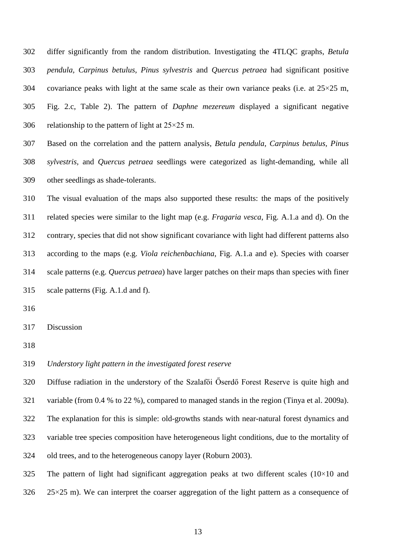differ significantly from the random distribution. Investigating the 4TLQC graphs, *Betula pendula, Carpinus betulus, Pinus sylvestris* and *Quercus petraea* had significant positive 304 covariance peaks with light at the same scale as their own variance peaks (i.e. at  $25\times25$  m, Fig. 2.c, Table 2). The pattern of *Daphne mezereum* displayed a significant negative 306 relationship to the pattern of light at  $25 \times 25$  m.

 Based on the correlation and the pattern analysis, *Betula pendula*, *Carpinus betulus, Pinus sylvestris,* and *Quercus petraea* seedlings were categorized as light-demanding, while all other seedlings as shade-tolerants.

 The visual evaluation of the maps also supported these results: the maps of the positively related species were similar to the light map (e.g. *Fragaria vesca*, Fig. A.1.a and d). On the contrary, species that did not show significant covariance with light had different patterns also according to the maps (e.g. *Viola reichenbachiana*, Fig. A.1.a and e). Species with coarser scale patterns (e.g. *Quercus petraea*) have larger patches on their maps than species with finer scale patterns (Fig. A.1.d and f).

- 
- Discussion
- 

*Understory light pattern in the investigated forest reserve*

 Diffuse radiation in the understory of the Szalafői Őserdő Forest Reserve is quite high and variable (from 0.4 % to 22 %), compared to managed stands in the region (Tinya et al. 2009a). The explanation for this is simple: old-growths stands with near-natural forest dynamics and variable tree species composition have heterogeneous light conditions, due to the mortality of old trees, and to the heterogeneous canopy layer (Roburn 2003).

325 The pattern of light had significant aggregation peaks at two different scales  $(10\times10)$  and  $25\times25$  m). We can interpret the coarser aggregation of the light pattern as a consequence of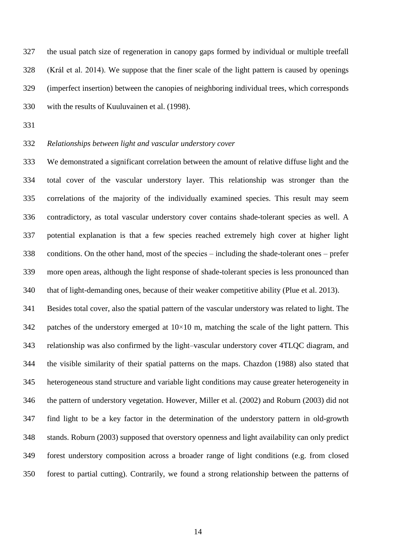the usual patch size of regeneration in canopy gaps formed by individual or multiple treefall (Král et al. 2014). We suppose that the finer scale of the light pattern is caused by openings (imperfect insertion) between the canopies of neighboring individual trees, which corresponds with the results of Kuuluvainen et al. (1998).

# *Relationships between light and vascular understory cover*

 We demonstrated a significant correlation between the amount of relative diffuse light and the total cover of the vascular understory layer. This relationship was stronger than the correlations of the majority of the individually examined species. This result may seem contradictory, as total vascular understory cover contains shade-tolerant species as well. A potential explanation is that a few species reached extremely high cover at higher light conditions. On the other hand, most of the species  $-$  including the shade-tolerant ones  $-$  prefer more open areas, although the light response of shade-tolerant species is less pronounced than that of light-demanding ones, because of their weaker competitive ability (Plue et al. 2013).

 Besides total cover, also the spatial pattern of the vascular understory was related to light. The 342 patches of the understory emerged at  $10\times10$  m, matching the scale of the light pattern. This relationship was also confirmed by the light–vascular understory cover 4TLQC diagram, and the visible similarity of their spatial patterns on the maps. Chazdon (1988) also stated that heterogeneous stand structure and variable light conditions may cause greater heterogeneity in the pattern of understory vegetation. However, Miller et al. (2002) and Roburn (2003) did not find light to be a key factor in the determination of the understory pattern in old-growth stands. Roburn (2003) supposed that overstory openness and light availability can only predict forest understory composition across a broader range of light conditions (e.g. from closed forest to partial cutting). Contrarily, we found a strong relationship between the patterns of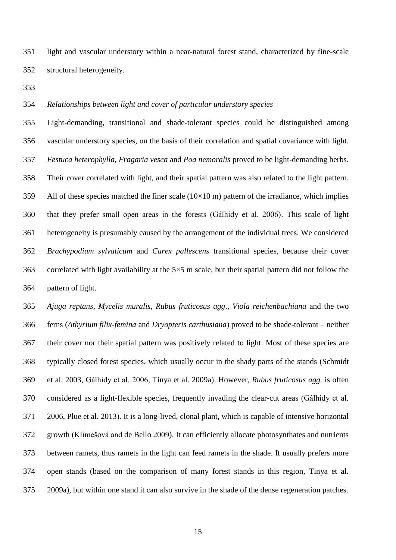light and vascular understory within a near-natural forest stand, characterized by fine-scale structural heterogeneity.

## *Relationships between light and cover of particular understory species*

 Light-demanding, transitional and shade-tolerant species could be distinguished among vascular understory species, on the basis of their correlation and spatial covariance with light. *Festuca heterophylla, Fragaria vesca* and *Poa nemoralis* proved to be light-demanding herbs. Their cover correlated with light, and their spatial pattern was also related to the light pattern. 359 All of these species matched the finer scale  $(10\times10 \text{ m})$  pattern of the irradiance, which implies that they prefer small open areas in the forests (Gálhidy et al. 2006). This scale of light heterogeneity is presumably caused by the arrangement of the individual trees. We considered *Brachypodium sylvaticum* and *Carex pallescens* transitional species, because their cover 363 correlated with light availability at the  $5\times 5$  m scale, but their spatial pattern did not follow the pattern of light.

 *Ajuga reptans, Mycelis muralis, Rubus fruticosus agg*., *Viola reichenbachiana* and the two ferns (*Athyrium filix-femina* and *Dryopteris carthusiana*) proved to be shade-tolerant ‒ neither their cover nor their spatial pattern was positively related to light. Most of these species are typically closed forest species, which usually occur in the shady parts of the stands (Schmidt et al. 2003, Gálhidy et al. 2006, Tinya et al. 2009a). However, *Rubus fruticosus agg.* is often considered as a light-flexible species, frequently invading the clear-cut areas (Gálhidy et al. 2006, Plue et al. 2013). It is a long-lived, clonal plant, which is capable of intensive horizontal growth (Klimešová and de Bello 2009). It can efficiently allocate photosynthates and nutrients between ramets, thus ramets in the light can feed ramets in the shade. It usually prefers more open stands (based on the comparison of many forest stands in this region, Tinya et al. 2009a), but within one stand it can also survive in the shade of the dense regeneration patches.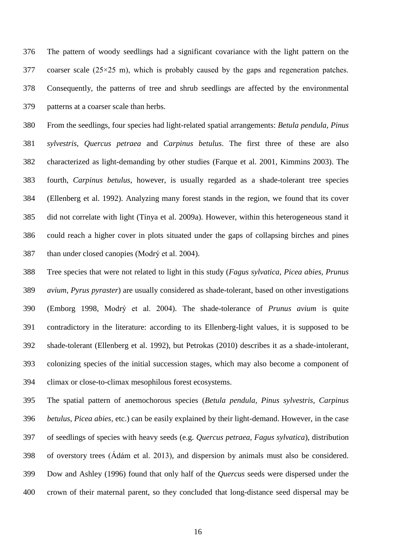The pattern of woody seedlings had a significant covariance with the light pattern on the coarser scale (25×25 m), which is probably caused by the gaps and regeneration patches. Consequently, the patterns of tree and shrub seedlings are affected by the environmental patterns at a coarser scale than herbs.

 From the seedlings, four species had light-related spatial arrangements: *Betula pendula, Pinus sylvestris*, *Quercus petraea* and *Carpinus betulus*. The first three of these are also characterized as light-demanding by other studies (Farque et al. 2001, Kimmins 2003). The fourth, *Carpinus betulus*, however, is usually regarded as a shade-tolerant tree species (Ellenberg et al. 1992). Analyzing many forest stands in the region, we found that its cover did not correlate with light (Tinya et al. 2009a). However, within this heterogeneous stand it could reach a higher cover in plots situated under the gaps of collapsing birches and pines than under closed canopies (Modrý et al. 2004).

 Tree species that were not related to light in this study (*Fagus sylvatica, Picea abies, Prunus avium, Pyrus pyraster*) are usually considered as shade-tolerant, based on other investigations (Emborg 1998, Modrý et al. 2004). The shade-tolerance of *Prunus avium* is quite contradictory in the literature: according to its Ellenberg-light values, it is supposed to be shade-tolerant (Ellenberg et al. 1992), but Petrokas (2010) describes it as a shade-intolerant, colonizing species of the initial succession stages, which may also become a component of climax or close-to-climax mesophilous forest ecosystems.

 The spatial pattern of anemochorous species (*Betula pendula, Pinus sylvestris, Carpinus betulus, Picea abies,* etc.) can be easily explained by their light-demand. However, in the case of seedlings of species with heavy seeds (e.g. *Quercus petraea, Fagus sylvatica*), distribution of overstory trees (Ádám et al. 2013), and dispersion by animals must also be considered. Dow and Ashley (1996) found that only half of the *Quercus* seeds were dispersed under the crown of their maternal parent, so they concluded that long-distance seed dispersal may be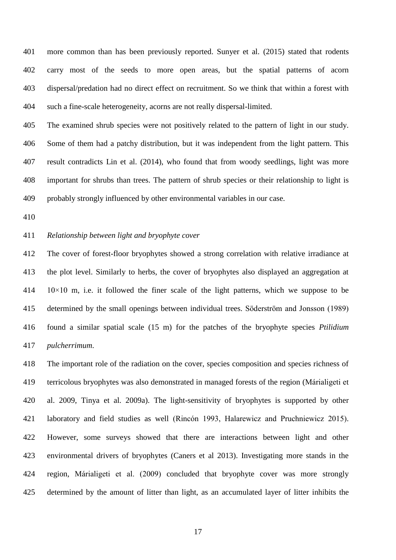more common than has been previously reported. Sunyer et al. (2015) stated that rodents carry most of the seeds to more open areas, but the spatial patterns of acorn dispersal/predation had no direct effect on recruitment. So we think that within a forest with such a fine-scale heterogeneity, acorns are not really dispersal-limited.

 The examined shrub species were not positively related to the pattern of light in our study. Some of them had a patchy distribution, but it was independent from the light pattern. This result contradicts Lin et al. (2014), who found that from woody seedlings, light was more important for shrubs than trees. The pattern of shrub species or their relationship to light is probably strongly influenced by other environmental variables in our case.

## *Relationship between light and bryophyte cover*

 The cover of forest-floor bryophytes showed a strong correlation with relative irradiance at the plot level. Similarly to herbs, the cover of bryophytes also displayed an aggregation at 10×10 m, i.e. it followed the finer scale of the light patterns, which we suppose to be determined by the small openings between individual trees. Söderström and Jonsson (1989) found a similar spatial scale (15 m) for the patches of the bryophyte species *Ptilidium pulcherrimum*.

 The important role of the radiation on the cover, species composition and species richness of terricolous bryophytes was also demonstrated in managed forests of the region (Márialigeti et al. 2009, Tinya et al. 2009a). The light-sensitivity of bryophytes is supported by other laboratory and field studies as well (Rincón 1993, Halarewicz and Pruchniewicz 2015). However, some surveys showed that there are interactions between light and other environmental drivers of bryophytes (Caners et al 2013). Investigating more stands in the region, Márialigeti et al. (2009) concluded that bryophyte cover was more strongly determined by the amount of litter than light, as an accumulated layer of litter inhibits the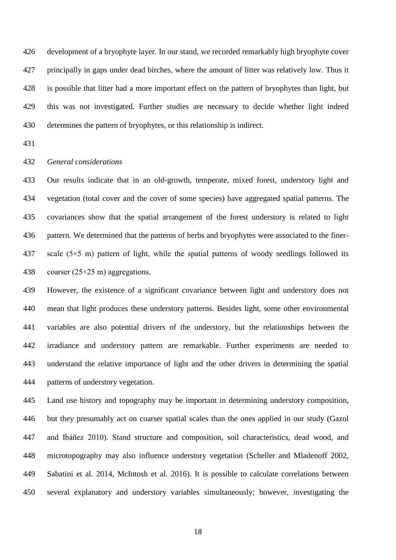development of a bryophyte layer. In our stand, we recorded remarkably high bryophyte cover principally in gaps under dead birches, where the amount of litter was relatively low. Thus it is possible that litter had a more important effect on the pattern of bryophytes than light, but this was not investigated. Further studies are necessary to decide whether light indeed determines the pattern of bryophytes, or this relationship is indirect.

## *General considerations*

 Our results indicate that in an old-growth, temperate, mixed forest, understory light and vegetation (total cover and the cover of some species) have aggregated spatial patterns. The covariances show that the spatial arrangement of the forest understory is related to light pattern. We determined that the patterns of herbs and bryophytes were associated to the finer-437 scale  $(5\times5 \text{ m})$  pattern of light, while the spatial patterns of woody seedlings followed its 438 coarser  $(25\times25 \text{ m})$  aggregations.

 However, the existence of a significant covariance between light and understory does not mean that light produces these understory patterns. Besides light, some other environmental variables are also potential drivers of the understory, but the relationships between the irradiance and understory pattern are remarkable. Further experiments are needed to understand the relative importance of light and the other drivers in determining the spatial patterns of understory vegetation.

 Land use history and topography may be important in determining understory composition, but they presumably act on coarser spatial scales than the ones applied in our study (Gazol and Ibáñez 2010). Stand structure and composition, soil characteristics, dead wood, and microtopography may also influence understory vegetation (Scheller and Mladenoff 2002, Sabatini et al. 2014, McIntosh et al. 2016). It is possible to calculate correlations between several explanatory and understory variables simultaneously; however, investigating the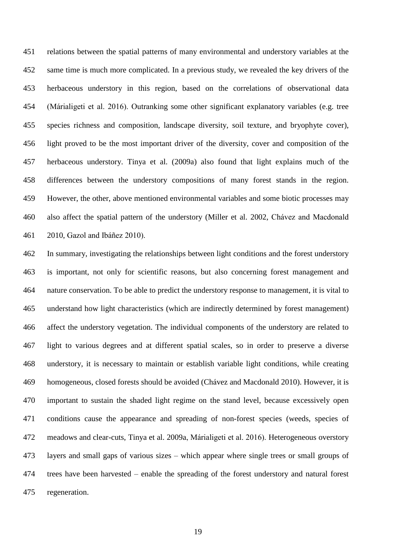relations between the spatial patterns of many environmental and understory variables at the same time is much more complicated. In a previous study, we revealed the key drivers of the herbaceous understory in this region, based on the correlations of observational data (Márialigeti et al. 2016). Outranking some other significant explanatory variables (e.g. tree species richness and composition, landscape diversity, soil texture, and bryophyte cover), light proved to be the most important driver of the diversity, cover and composition of the herbaceous understory. Tinya et al. (2009a) also found that light explains much of the differences between the understory compositions of many forest stands in the region. However, the other, above mentioned environmental variables and some biotic processes may also affect the spatial pattern of the understory (Miller et al. 2002, Chávez and Macdonald 2010, Gazol and Ibáñez 2010).

 In summary, investigating the relationships between light conditions and the forest understory is important, not only for scientific reasons, but also concerning forest management and nature conservation. To be able to predict the understory response to management, it is vital to understand how light characteristics (which are indirectly determined by forest management) affect the understory vegetation. The individual components of the understory are related to light to various degrees and at different spatial scales, so in order to preserve a diverse understory, it is necessary to maintain or establish variable light conditions, while creating homogeneous, closed forests should be avoided (Chávez and Macdonald 2010). However, it is important to sustain the shaded light regime on the stand level, because excessively open conditions cause the appearance and spreading of non-forest species (weeds, species of meadows and clear-cuts, Tinya et al. 2009a, Márialigeti et al. 2016). Heterogeneous overstory layers and small gaps of various sizes ‒ which appear where single trees or small groups of 474 trees have been harvested – enable the spreading of the forest understory and natural forest regeneration.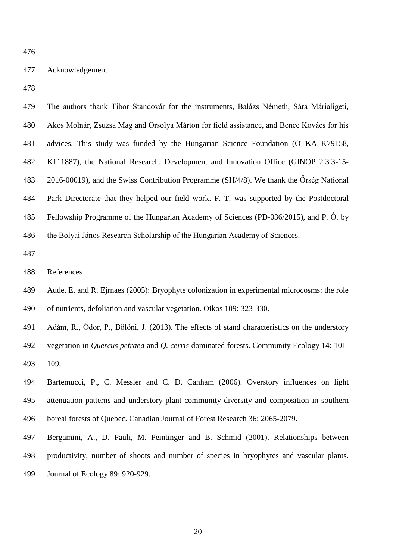### Acknowledgement

 The authors thank Tibor Standovár for the instruments, Balázs Németh, Sára Márialigeti, Ákos Molnár, Zsuzsa Mag and Orsolya Márton for field assistance, and Bence Kovács for his advices. This study was funded by the Hungarian Science Foundation (OTKA K79158, K111887), the National Research, Development and Innovation Office (GINOP 2.3.3-15- 2016-00019), and the Swiss Contribution Programme (SH/4/8). We thank the Őrség National Park Directorate that they helped our field work. F. T. was supported by the Postdoctoral Fellowship Programme of the Hungarian Academy of Sciences (PD-036/2015), and P. Ó. by the Bolyai János Research Scholarship of the Hungarian Academy of Sciences.

- Aude, E. and R. Ejrnaes (2005): Bryophyte colonization in experimental microcosms: the role of nutrients, defoliation and vascular vegetation. Oikos 109: 323-330.
- Ádám, R., Ódor, P., Bölöni, J. (2013). The effects of stand characteristics on the understory vegetation in *Quercus petraea* and *Q. cerris* dominated forests. Community Ecology 14: 101- 109.
- Bartemucci, P., C. Messier and C. D. Canham (2006). Overstory influences on light attenuation patterns and understory plant community diversity and composition in southern boreal forests of Quebec. Canadian Journal of Forest Research 36: 2065-2079.
- Bergamini, A., D. Pauli, M. Peintinger and B. Schmid (2001). Relationships between productivity, number of shoots and number of species in bryophytes and vascular plants.
- 
- Journal of Ecology 89: 920-929.

References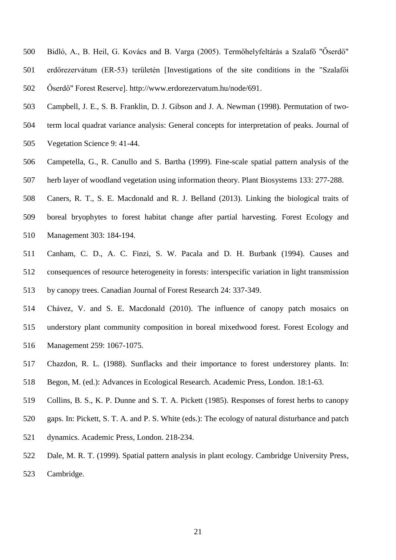- Bidló, A., B. Heil, G. Kovács and B. Varga (2005). Termőhelyfeltárás a Szalafő "Őserdő" erdőrezervátum (ER-53) területén [Investigations of the site conditions in the "Szalafői Őserdő" Forest Reserve]. http://www.erdorezervatum.hu/node/691.
- Campbell, J. E., S. B. Franklin, D. J. Gibson and J. A. Newman (1998). Permutation of two-
- term local quadrat variance analysis: General concepts for interpretation of peaks. Journal of Vegetation Science 9: 41-44.
- Campetella, G., R. Canullo and S. Bartha (1999). Fine-scale spatial pattern analysis of the herb layer of woodland vegetation using information theory. Plant Biosystems 133: 277-288.
- Caners, R. T., S. E. Macdonald and R. J. Belland (2013). Linking the biological traits of boreal bryophytes to forest habitat change after partial harvesting. Forest Ecology and Management 303: 184-194.
- Canham, C. D., A. C. Finzi, S. W. Pacala and D. H. Burbank (1994). Causes and consequences of resource heterogeneity in forests: interspecific variation in light transmission by canopy trees. Canadian Journal of Forest Research 24: 337-349.
- Chávez, V. and S. E. Macdonald (2010). The influence of canopy patch mosaics on understory plant community composition in boreal mixedwood forest. Forest Ecology and Management 259: 1067-1075.
- Chazdon, R. L. (1988). Sunflacks and their importance to forest understorey plants. In:
- Begon, M. (ed.): Advances in Ecological Research. Academic Press, London. 18:1-63.
- Collins, B. S., K. P. Dunne and S. T. A. Pickett (1985). Responses of forest herbs to canopy
- gaps. In: Pickett, S. T. A. and P. S. White (eds.): The ecology of natural disturbance and patch
- dynamics. Academic Press, London. 218-234.
- Dale, M. R. T. (1999). Spatial pattern analysis in plant ecology. Cambridge University Press, Cambridge.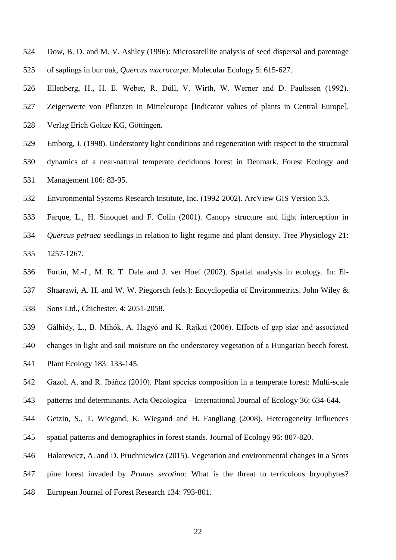- Dow, B. D. and M. V. Ashley (1996): Microsatellite analysis of seed dispersal and parentage of saplings in bur oak, *Quercus macrocarpa*. Molecular Ecology 5: 615-627.
- Ellenberg, H., H. E. Weber, R. Düll, V. Wirth, W. Werner and D. Paulissen (1992). Zeigerwerte von Pflanzen in Mitteleuropa [Indicator values of plants in Central Europe].
- Verlag Erich Goltze KG, Göttingen.
- Emborg, J. (1998). Understorey light conditions and regeneration with respect to the structural
- dynamics of a near-natural temperate deciduous forest in Denmark. Forest Ecology and Management 106: 83-95.
- Environmental Systems Research Institute, Inc. (1992-2002). ArcView GIS Version 3.3.
- Farque, L., H. Sinoquet and F. Colin (2001). Canopy structure and light interception in *Quercus petraea* seedlings in relation to light regime and plant density. Tree Physiology 21: 1257-1267.
- Fortin, M.-J., M. R. T. Dale and J. ver Hoef (2002). Spatial analysis in ecology. In: El- Shaarawi, A. H. and W. W. Piegorsch (eds.): Encyclopedia of Environmetrics. John Wiley & Sons Ltd., Chichester. 4: 2051-2058.
- Gálhidy, L., B. Mihók, A. Hagyó and K. Rajkai (2006). Effects of gap size and associated
- changes in light and soil moisture on the understorey vegetation of a Hungarian beech forest.
- Plant Ecology 183: 133-145.
- Gazol, A. and R. Ibáñez (2010). Plant species composition in a temperate forest: Multi-scale
- 543 patterns and determinants. Acta Oecologica International Journal of Ecology 36: 634-644.
- Getzin, S., T. Wiegand, K. Wiegand and H. Fangliang (2008). Heterogeneity influences spatial patterns and demographics in forest stands. Journal of Ecology 96: 807-820.
- Halarewicz, A. and D. Pruchniewicz (2015). Vegetation and environmental changes in a Scots
- pine forest invaded by *Prunus serotina*: What is the threat to terricolous bryophytes?
- European Journal of Forest Research 134: 793-801.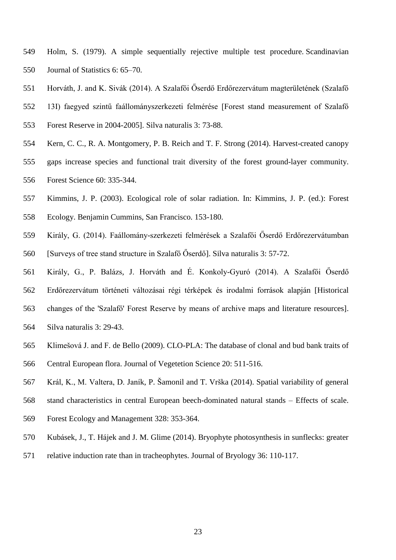- Holm, S. (1979). A simple sequentially rejective multiple test procedure. Scandinavian Journal of Statistics 6: 65–70.
- Horváth, J. and K. Sivák (2014). A Szalafői Őserdő Erdőrezervátum magterületének (Szalafő
- 13I) faegyed szintű faállományszerkezeti felmérése [Forest stand measurement of Szalafő
- Forest Reserve in 2004-2005]. Silva naturalis 3: 73-88.
- Kern, C. C., R. A. Montgomery, P. B. Reich and T. F. Strong (2014). Harvest-created canopy gaps increase species and functional trait diversity of the forest ground-layer community. Forest Science 60: 335-344.
- Kimmins, J. P. (2003). Ecological role of solar radiation. In: Kimmins, J. P. (ed.): Forest
- Ecology. Benjamin Cummins, San Francisco. 153-180.
- Király, G. (2014). Faállomány-szerkezeti felmérések a Szalafői Őserdő Erdőrezervátumban [Surveys of tree stand structure in Szalafő Őserdő]. Silva naturalis 3: 57-72.
- Király, G., P. Balázs, J. Horváth and É. Konkoly-Gyuró (2014). A Szalafői Őserdő Erdőrezervátum történeti változásai régi térképek és irodalmi források alapján [Historical changes of the 'Szalafő' Forest Reserve by means of archive maps and literature resources].
- Silva naturalis 3: 29-43.
- Klimešová J. and F. de Bello (2009). CLO-PLA: The database of clonal and bud bank traits of
- Central European flora. Journal of Vegetetion Science 20: 511-516.
- Král, K., M. Valtera, D. Janík, P. Šamonil and T. Vrška (2014). Spatial variability of general
- stand characteristics in central European beech-dominated natural stands ‒ Effects of scale.
- Forest Ecology and Management 328: 353-364.
- Kubásek, J., T. Hájek and J. M. Glime (2014). Bryophyte photosynthesis in sunflecks: greater
- relative induction rate than in tracheophytes. Journal of Bryology 36: 110-117.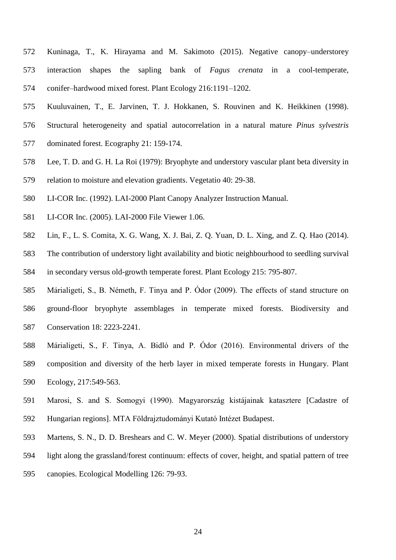- Kuninaga, T., K. Hirayama and M. Sakimoto (2015). Negative canopy–understorey interaction shapes the sapling bank of *Fagus crenata* in a cool-temperate, conifer–hardwood mixed forest. Plant Ecology 216:1191–1202.
- Kuuluvainen, T., E. Jarvinen, T. J. Hokkanen, S. Rouvinen and K. Heikkinen (1998).
- Structural heterogeneity and spatial autocorrelation in a natural mature *Pinus sylvestris*
- dominated forest. Ecography 21: 159-174.
- Lee, T. D. and G. H. La Roi (1979): Bryophyte and understory vascular plant beta diversity in
- relation to moisture and elevation gradients. Vegetatio 40: 29-38.
- LI-COR Inc. (1992). LAI-2000 Plant Canopy Analyzer Instruction Manual.
- LI-COR Inc. (2005). LAI-2000 File Viewer 1.06.
- Lin, F., L. S. Comita, X. G. Wang, X. J. Bai, Z. Q. Yuan, D. L. Xing, and Z. Q. Hao (2014).
- The contribution of understory light availability and biotic neighbourhood to seedling survival in secondary versus old-growth temperate forest. Plant Ecology 215: 795-807.
- Márialigeti, S., B. Németh, F. Tinya and P. Ódor (2009). The effects of stand structure on ground-floor bryophyte assemblages in temperate mixed forests. Biodiversity and Conservation 18: 2223-2241.
- Márialigeti, S., F. Tinya, A. Bidló and P. Ódor (2016). Environmental drivers of the composition and diversity of the herb layer in mixed temperate forests in Hungary. Plant Ecology, 217:549-563.
- Marosi, S. and S. Somogyi (1990). Magyarország kistájainak katasztere [Cadastre of Hungarian regions]. MTA Földrajztudományi Kutató Intézet Budapest.
- Martens, S. N., D. D. Breshears and C. W. Meyer (2000). Spatial distributions of understory
- light along the grassland/forest continuum: effects of cover, height, and spatial pattern of tree
- canopies. Ecological Modelling 126: 79-93.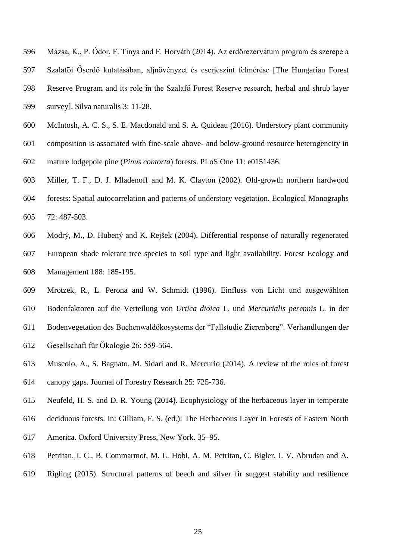- Mázsa, K., P. Ódor, F. Tinya and F. Horváth (2014). Az erdőrezervátum program és szerepe a
- Szalafői Őserdő kutatásában, aljnövényzet és cserjeszint felmérése [The Hungarian Forest
- Reserve Program and its role in the Szalafő Forest Reserve research, herbal and shrub layer
- survey]. Silva naturalis 3: 11-28.
- McIntosh, A. C. S., S. E. Macdonald and S. A. Quideau (2016). Understory plant community
- composition is associated with fine-scale above- and below-ground resource heterogeneity in
- mature lodgepole pine (*Pinus contorta*) forests. PLoS One 11: e0151436.
- Miller, T. F., D. J. Mladenoff and M. K. Clayton (2002). Old-growth northern hardwood
- forests: Spatial autocorrelation and patterns of understory vegetation. Ecological Monographs 72: 487-503.
- Modrý, M., D. Hubený and K. Rejšek (2004). Differential response of naturally regenerated European shade tolerant tree species to soil type and light availability. Forest Ecology and Management 188: 185-195.
- Mrotzek, R., L. Perona and W. Schmidt (1996). Einfluss von Licht und ausgewählten Bodenfaktoren auf die Verteilung von *Urtica dioica* L. und *Mercurialis perennis* L. in der Bodenvegetation des Buchenwaldökosystems der "Fallstudie Zierenberg". Verhandlungen der
- Gesellschaft für Ökologie 26: 559-564.
- Muscolo, A., S. Bagnato, M. Sidari and R. Mercurio (2014). A review of the roles of forest canopy gaps. Journal of Forestry Research 25: 725-736.
- Neufeld, H. S. and D. R. Young (2014). Ecophysiology of the herbaceous layer in temperate
- deciduous forests. In: Gilliam, F. S. (ed.): The Herbaceous Layer in Forests of Eastern North
- America. Oxford University Press, New York. 35–95.
- Petritan, I. C., B. Commarmot, M. L. Hobi, A. M. Petritan, C. Bigler, I. V. Abrudan and A.
- Rigling (2015). Structural patterns of beech and silver fir suggest stability and resilience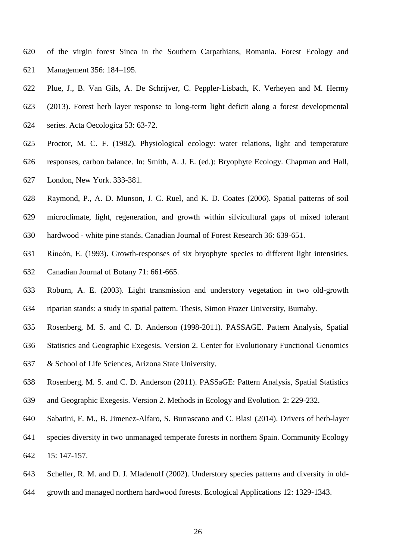- of the virgin forest Sinca in the Southern Carpathians, Romania. Forest Ecology and Management 356: 184–195.
- Plue, J., B. Van Gils, A. De Schrijver, C. Peppler-Lisbach, K. Verheyen and M. Hermy (2013). Forest herb layer response to long-term light deficit along a forest developmental series. Acta Oecologica 53: 63-72.
- Proctor, M. C. F. (1982). Physiological ecology: water relations, light and temperature responses, carbon balance. In: Smith, A. J. E. (ed.): Bryophyte Ecology. Chapman and Hall, London, New York. 333-381.
- Raymond, P., A. D. Munson, J. C. Ruel, and K. D. Coates (2006). Spatial patterns of soil
- microclimate, light, regeneration, and growth within silvicultural gaps of mixed tolerant hardwood - white pine stands. Canadian Journal of Forest Research 36: 639-651.
- Rincón, E. (1993). Growth-responses of six bryophyte species to different light intensities. Canadian Journal of Botany 71: 661-665.
- Roburn, A. E. (2003). Light transmission and understory vegetation in two old-growth riparian stands: a study in spatial pattern. Thesis, Simon Frazer University, Burnaby.
- Rosenberg, M. S. and C. D. Anderson (1998-2011). PASSAGE. Pattern Analysis, Spatial
- Statistics and Geographic Exegesis. Version 2. Center for Evolutionary Functional Genomics
- & School of Life Sciences, Arizona State University.
- Rosenberg, M. S. and C. D. Anderson (2011). PASSaGE: Pattern Analysis, Spatial Statistics
- and Geographic Exegesis. Version 2. Methods in Ecology and Evolution. 2: 229-232.
- Sabatini, F. M., B. Jimenez-Alfaro, S. Burrascano and C. Blasi (2014). Drivers of herb-layer
- species diversity in two unmanaged temperate forests in northern Spain. Community Ecology 15: 147-157.
- Scheller, R. M. and D. J. Mladenoff (2002). Understory species patterns and diversity in old-
- growth and managed northern hardwood forests. Ecological Applications 12: 1329-1343.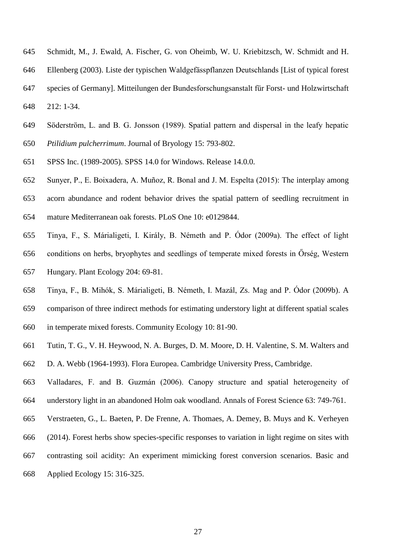- Schmidt, M., J. Ewald, A. Fischer, G. von Oheimb, W. U. Kriebitzsch, W. Schmidt and H.
- Ellenberg (2003). Liste der typischen Waldgefässpflanzen Deutschlands [List of typical forest
- species of Germany]. Mitteilungen der Bundesforschungsanstalt für Forst- und Holzwirtschaft
- 212: 1-34.
- Söderström, L. and B. G. Jonsson (1989). Spatial pattern and dispersal in the leafy hepatic *Ptilidium pulcherrimum*. Journal of Bryology 15: 793-802.
- 
- SPSS Inc. (1989-2005). SPSS 14.0 for Windows. Release 14.0.0.
- Sunyer, P., E. Boixadera, A. Muñoz, R. Bonal and J. M. Espelta (2015): The interplay among acorn abundance and rodent behavior drives the spatial pattern of seedling recruitment in mature Mediterranean oak forests. PLoS One 10: e0129844.
- Tinya, F., S. Márialigeti, I. Király, B. Németh and P. Ódor (2009a). The effect of light conditions on herbs, bryophytes and seedlings of temperate mixed forests in Őrség, Western Hungary. Plant Ecology 204: 69-81.
- Tinya, F., B. Mihók, S. Márialigeti, B. Németh, I. Mazál, Zs. Mag and P. Ódor (2009b). A comparison of three indirect methods for estimating understory light at different spatial scales
- in temperate mixed forests. Community Ecology 10: 81-90.
- Tutin, T. G., V. H. Heywood, N. A. Burges, D. M. Moore, D. H. Valentine, S. M. Walters and
- D. A. Webb (1964-1993). Flora Europea. Cambridge University Press, Cambridge.
- Valladares, F. and B. Guzmán (2006). Canopy structure and spatial heterogeneity of understory light in an abandoned Holm oak woodland. Annals of Forest Science 63: 749-761.
- Verstraeten, G., L. Baeten, P. De Frenne, A. Thomaes, A. Demey, B. Muys and K. Verheyen
- (2014). Forest herbs show species-specific responses to variation in light regime on sites with
- contrasting soil acidity: An experiment mimicking forest conversion scenarios. Basic and
- Applied Ecology 15: 316-325.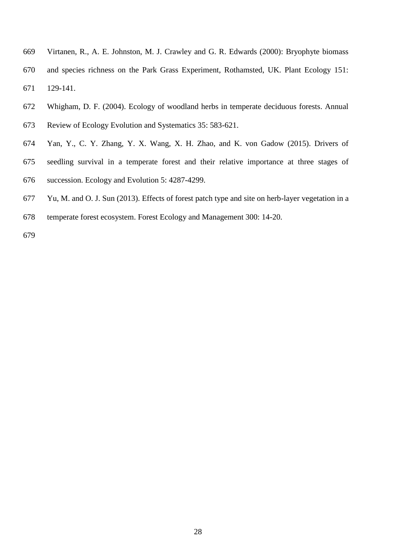- Virtanen, R., A. E. Johnston, M. J. Crawley and G. R. Edwards (2000): Bryophyte biomass and species richness on the Park Grass Experiment, Rothamsted, UK. Plant Ecology 151: 129-141.
- Whigham, D. F. (2004). Ecology of woodland herbs in temperate deciduous forests. Annual Review of Ecology Evolution and Systematics 35: 583-621.
- Yan, Y., C. Y. Zhang, Y. X. Wang, X. H. Zhao, and K. von Gadow (2015). Drivers of seedling survival in a temperate forest and their relative importance at three stages of succession. Ecology and Evolution 5: 4287-4299.
- Yu, M. and O. J. Sun (2013). Effects of forest patch type and site on herb-layer vegetation in a
- temperate forest ecosystem. Forest Ecology and Management 300: 14-20.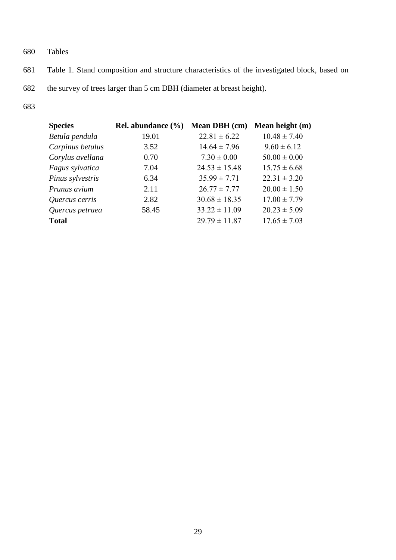- 680 Tables
- 681 Table 1. Stand composition and structure characteristics of the investigated block, based on
- 682 the survey of trees larger than 5 cm DBH (diameter at breast height).
- 683

| <b>Species</b>   | Rel. abundance $(\% )$ | Mean DBH (cm)     | Mean height (m)  |
|------------------|------------------------|-------------------|------------------|
| Betula pendula   | 19.01                  | $22.81 \pm 6.22$  | $10.48 \pm 7.40$ |
| Carpinus betulus | 3.52                   | $14.64 \pm 7.96$  | $9.60 \pm 6.12$  |
| Corylus avellana | 0.70                   | $7.30 \pm 0.00$   | $50.00 \pm 0.00$ |
| Fagus sylvatica  | 7.04                   | $24.53 \pm 15.48$ | $15.75 \pm 6.68$ |
| Pinus sylvestris | 6.34                   | $35.99 \pm 7.71$  | $22.31 \pm 3.20$ |
| Prunus avium     | 2.11                   | $26.77 \pm 7.77$  | $20.00 \pm 1.50$ |
| Quercus cerris   | 2.82                   | $30.68 \pm 18.35$ | $17.00 \pm 7.79$ |
| Quercus petraea  | 58.45                  | $33.22 \pm 11.09$ | $20.23 \pm 5.09$ |
| <b>Total</b>     |                        | $29.79 \pm 11.87$ | $17.65 \pm 7.03$ |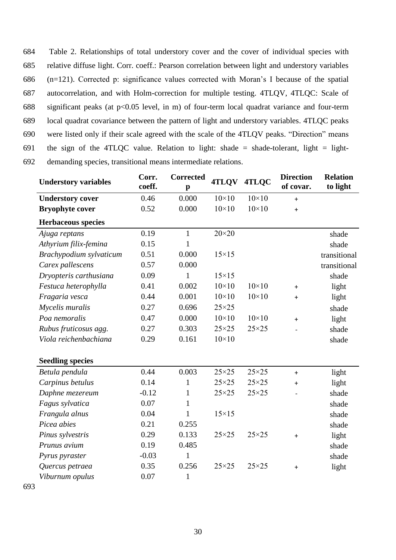Table 2. Relationships of total understory cover and the cover of individual species with relative diffuse light. Corr. coeff.: Pearson correlation between light and understory variables (n=121). Corrected p: significance values corrected with Moran's I because of the spatial autocorrelation, and with Holm-correction for multiple testing. 4TLQV, 4TLQC: Scale of significant peaks (at p<0.05 level, in m) of four-term local quadrat variance and four-term local quadrat covariance between the pattern of light and understory variables. 4TLQC peaks were listed only if their scale agreed with the scale of the 4TLQV peaks. "Direction" means 691 the sign of the 4TLQC value. Relation to light: shade = shade-tolerant, light = light-demanding species, transitional means intermediate relations.

| <b>Understory variables</b> | Corr.<br>coeff. | <b>Corrected</b><br>$\mathbf{p}$ | 4TLQV          | 4TLQC          | <b>Direction</b><br>of covar. | <b>Relation</b><br>to light |
|-----------------------------|-----------------|----------------------------------|----------------|----------------|-------------------------------|-----------------------------|
| <b>Understory cover</b>     | 0.46            | 0.000                            | $10\times10$   | $10\times10$   | $\ddot{}$                     |                             |
| <b>Bryophyte cover</b>      | 0.52            | 0.000                            | $10\times10$   | $10\times10$   | $\ddot{}$                     |                             |
| <b>Herbaceous species</b>   |                 |                                  |                |                |                               |                             |
| Ajuga reptans               | 0.19            | $\mathbf{1}$                     | $20\times20$   |                |                               | shade                       |
| Athyrium filix-femina       | 0.15            | $\mathbf{1}$                     |                |                |                               | shade                       |
| Brachypodium sylvaticum     | 0.51            | 0.000                            | $15\times15$   |                |                               | transitional                |
| Carex pallescens            | 0.57            | 0.000                            |                |                |                               | transitional                |
| Dryopteris carthusiana      | 0.09            | $\mathbf{1}$                     | $15\times15$   |                |                               | shade                       |
| Festuca heterophylla        | 0.41            | 0.002                            | $10\times10$   | $10\times10$   | $\ddot{}$                     | light                       |
| Fragaria vesca              | 0.44            | 0.001                            | $10\times10$   | $10\times10$   | $\ddot{}$                     | light                       |
| Mycelis muralis             | 0.27            | 0.696                            | $25 \times 25$ |                |                               | shade                       |
| Poa nemoralis               | 0.47            | 0.000                            | $10\times10$   | $10\times10$   | $\ddot{}$                     | light                       |
| Rubus fruticosus agg.       | 0.27            | 0.303                            | $25 \times 25$ | $25 \times 25$ |                               | shade                       |
| Viola reichenbachiana       | 0.29            | 0.161                            | $10\times10$   |                |                               | shade                       |
|                             |                 |                                  |                |                |                               |                             |
| <b>Seedling species</b>     |                 |                                  |                |                |                               |                             |
| Betula pendula              | 0.44            | 0.003                            | $25 \times 25$ | $25 \times 25$ | $+$                           | light                       |
| Carpinus betulus            | 0.14            | 1                                | $25\times25$   | $25 \times 25$ | $\ddot{}$                     | light                       |
| Daphne mezereum             | $-0.12$         | $\mathbf{1}$                     | $25 \times 25$ | $25 \times 25$ |                               | shade                       |
| Fagus sylvatica             | 0.07            | 1                                |                |                |                               | shade                       |
| Frangula alnus              | 0.04            | $\mathbf{1}$                     | $15\times15$   |                |                               | shade                       |
| Picea abies                 | 0.21            | 0.255                            |                |                |                               | shade                       |
| Pinus sylvestris            | 0.29            | 0.133                            | $25 \times 25$ | $25\times25$   | $\ddot{}$                     | light                       |
| Prunus avium                | 0.19            | 0.485                            |                |                |                               | shade                       |
| Pyrus pyraster              | $-0.03$         | $\mathbf{1}$                     |                |                |                               | shade                       |
| Quercus petraea             | 0.35            | 0.256                            | $25 \times 25$ | $25 \times 25$ | $\ddot{}$                     | light                       |
| Viburnum opulus             | 0.07            | $\mathbf{1}$                     |                |                |                               |                             |
|                             |                 |                                  |                |                |                               |                             |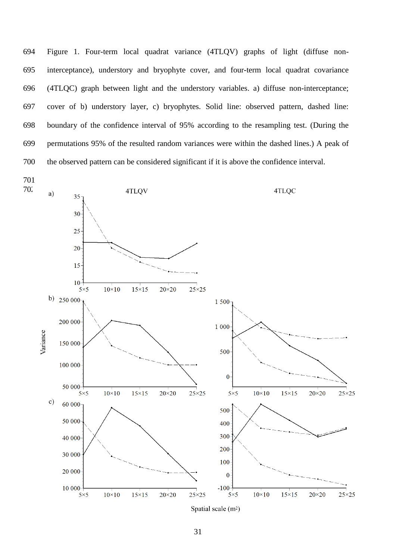Figure 1. Four-term local quadrat variance (4TLQV) graphs of light (diffuse non- interceptance), understory and bryophyte cover, and four-term local quadrat covariance (4TLQC) graph between light and the understory variables. a) diffuse non-interceptance; cover of b) understory layer, c) bryophytes. Solid line: observed pattern, dashed line: boundary of the confidence interval of 95% according to the resampling test. (During the permutations 95% of the resulted random variances were within the dashed lines.) A peak of the observed pattern can be considered significant if it is above the confidence interval.

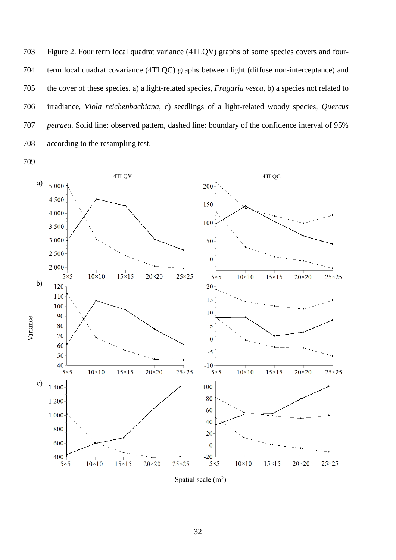Figure 2. Four term local quadrat variance (4TLQV) graphs of some species covers and four- term local quadrat covariance (4TLQC) graphs between light (diffuse non-interceptance) and the cover of these species. a) a light-related species, *Fragaria vesca*, b) a species not related to irradiance, *Viola reichenbachiana*, c) seedlings of a light-related woody species, *Quercus petraea.* Solid line: observed pattern, dashed line: boundary of the confidence interval of 95% according to the resampling test.



Spatial scale (m<sup>2</sup>)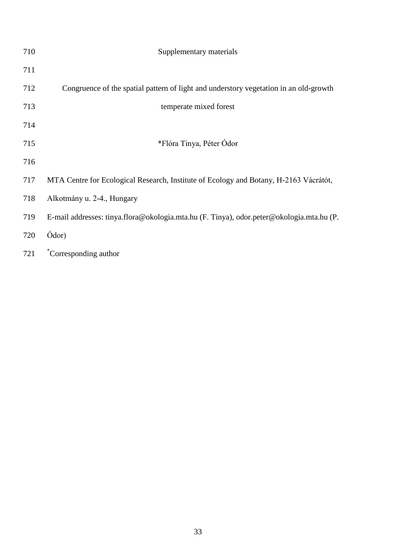| 710 | Supplementary materials                                                                  |
|-----|------------------------------------------------------------------------------------------|
| 711 |                                                                                          |
| 712 | Congruence of the spatial pattern of light and understory vegetation in an old-growth    |
| 713 | temperate mixed forest                                                                   |
| 714 |                                                                                          |
| 715 | *Flóra Tinya, Péter Ódor                                                                 |
| 716 |                                                                                          |
| 717 | MTA Centre for Ecological Research, Institute of Ecology and Botany, H-2163 Vácrátót,    |
| 718 | Alkotmány u. 2-4., Hungary                                                               |
| 719 | E-mail addresses: tinya.flora@okologia.mta.hu (F. Tinya), odor.peter@okologia.mta.hu (P. |
| 720 | Ódor)                                                                                    |
| 721 | *Corresponding author                                                                    |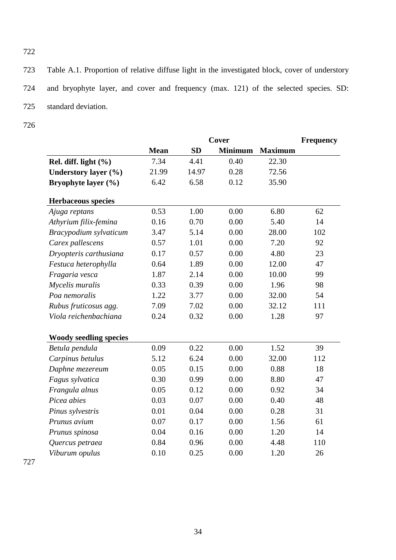723 Table A.1. Proportion of relative diffuse light in the investigated block, cover of understory 724 and bryophyte layer, and cover and frequency (max. 121) of the selected species. SD: 725 standard deviation.

726

722

|                               | Cover       |           |                | <b>Frequency</b> |     |
|-------------------------------|-------------|-----------|----------------|------------------|-----|
|                               | <b>Mean</b> | <b>SD</b> | <b>Minimum</b> | <b>Maximum</b>   |     |
| Rel. diff. light $(\% )$      | 7.34        | 4.41      | 0.40           | 22.30            |     |
| Understory layer (%)          | 21.99       | 14.97     | 0.28           | 72.56            |     |
| Bryophyte layer (%)           | 6.42        | 6.58      | 0.12           | 35.90            |     |
| <b>Herbaceous species</b>     |             |           |                |                  |     |
| Ajuga reptans                 | 0.53        | 1.00      | 0.00           | 6.80             | 62  |
| Athyrium filix-femina         | 0.16        | 0.70      | 0.00           | 5.40             | 14  |
| Bracypodium sylvaticum        | 3.47        | 5.14      | 0.00           | 28.00            | 102 |
| Carex pallescens              | 0.57        | 1.01      | 0.00           | 7.20             | 92  |
| Dryopteris carthusiana        | 0.17        | 0.57      | 0.00           | 4.80             | 23  |
| Festuca heterophylla          | 0.64        | 1.89      | 0.00           | 12.00            | 47  |
| Fragaria vesca                | 1.87        | 2.14      | 0.00           | 10.00            | 99  |
| Mycelis muralis               | 0.33        | 0.39      | 0.00           | 1.96             | 98  |
| Poa nemoralis                 | 1.22        | 3.77      | 0.00           | 32.00            | 54  |
| Rubus fruticosus agg.         | 7.09        | 7.02      | 0.00           | 32.12            | 111 |
| Viola reichenbachiana         | 0.24        | 0.32      | 0.00           | 1.28             | 97  |
| <b>Woody seedling species</b> |             |           |                |                  |     |
| Betula pendula                | 0.09        | 0.22      | 0.00           | 1.52             | 39  |
| Carpinus betulus              | 5.12        | 6.24      | 0.00           | 32.00            | 112 |
| Daphne mezereum               | 0.05        | 0.15      | 0.00           | 0.88             | 18  |
| Fagus sylvatica               | 0.30        | 0.99      | 0.00           | 8.80             | 47  |
| Frangula alnus                | 0.05        | 0.12      | 0.00           | 0.92             | 34  |
| Picea abies                   | 0.03        | 0.07      | 0.00           | 0.40             | 48  |
| Pinus sylvestris              | 0.01        | 0.04      | 0.00           | 0.28             | 31  |
| Prunus avium                  | 0.07        | 0.17      | 0.00           | 1.56             | 61  |
| Prunus spinosa                | 0.04        | 0.16      | 0.00           | 1.20             | 14  |
| Quercus petraea               | 0.84        | 0.96      | 0.00           | 4.48             | 110 |
| Viburum opulus                | 0.10        | 0.25      | 0.00           | 1.20             | 26  |